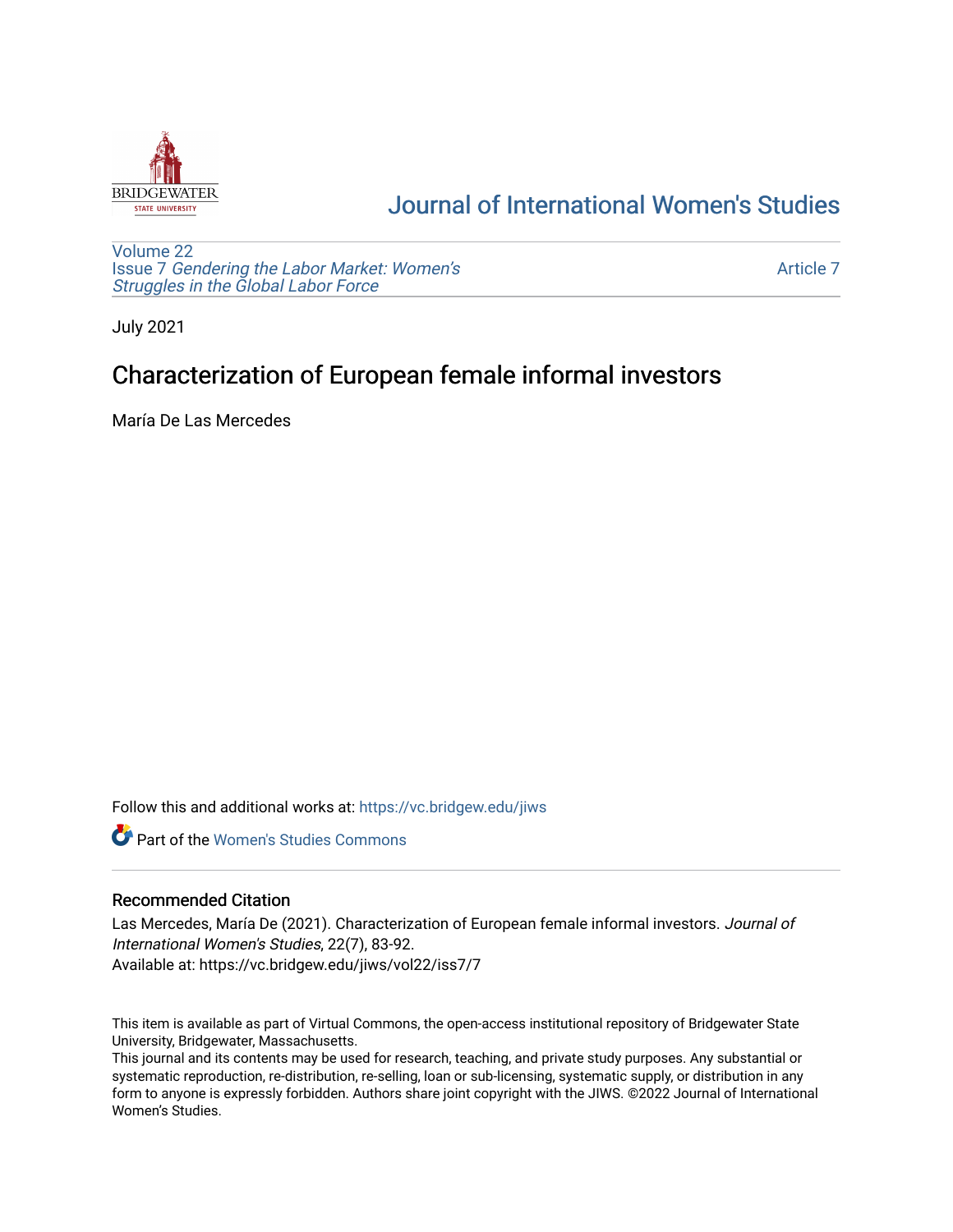

# [Journal of International Women's Studies](https://vc.bridgew.edu/jiws)

[Volume 22](https://vc.bridgew.edu/jiws/vol22) Issue 7 [Gendering the Labor Market: Women's](https://vc.bridgew.edu/jiws/vol22/iss7) [Struggles in the Global Labor Force](https://vc.bridgew.edu/jiws/vol22/iss7)

[Article 7](https://vc.bridgew.edu/jiws/vol22/iss7/7) 

July 2021

# Characterization of European female informal investors

María De Las Mercedes

Follow this and additional works at: [https://vc.bridgew.edu/jiws](https://vc.bridgew.edu/jiws?utm_source=vc.bridgew.edu%2Fjiws%2Fvol22%2Fiss7%2F7&utm_medium=PDF&utm_campaign=PDFCoverPages)

**C** Part of the Women's Studies Commons

#### Recommended Citation

Las Mercedes, María De (2021). Characterization of European female informal investors. Journal of International Women's Studies, 22(7), 83-92. Available at: https://vc.bridgew.edu/jiws/vol22/iss7/7

This item is available as part of Virtual Commons, the open-access institutional repository of Bridgewater State University, Bridgewater, Massachusetts.

This journal and its contents may be used for research, teaching, and private study purposes. Any substantial or systematic reproduction, re-distribution, re-selling, loan or sub-licensing, systematic supply, or distribution in any form to anyone is expressly forbidden. Authors share joint copyright with the JIWS. ©2022 Journal of International Women's Studies.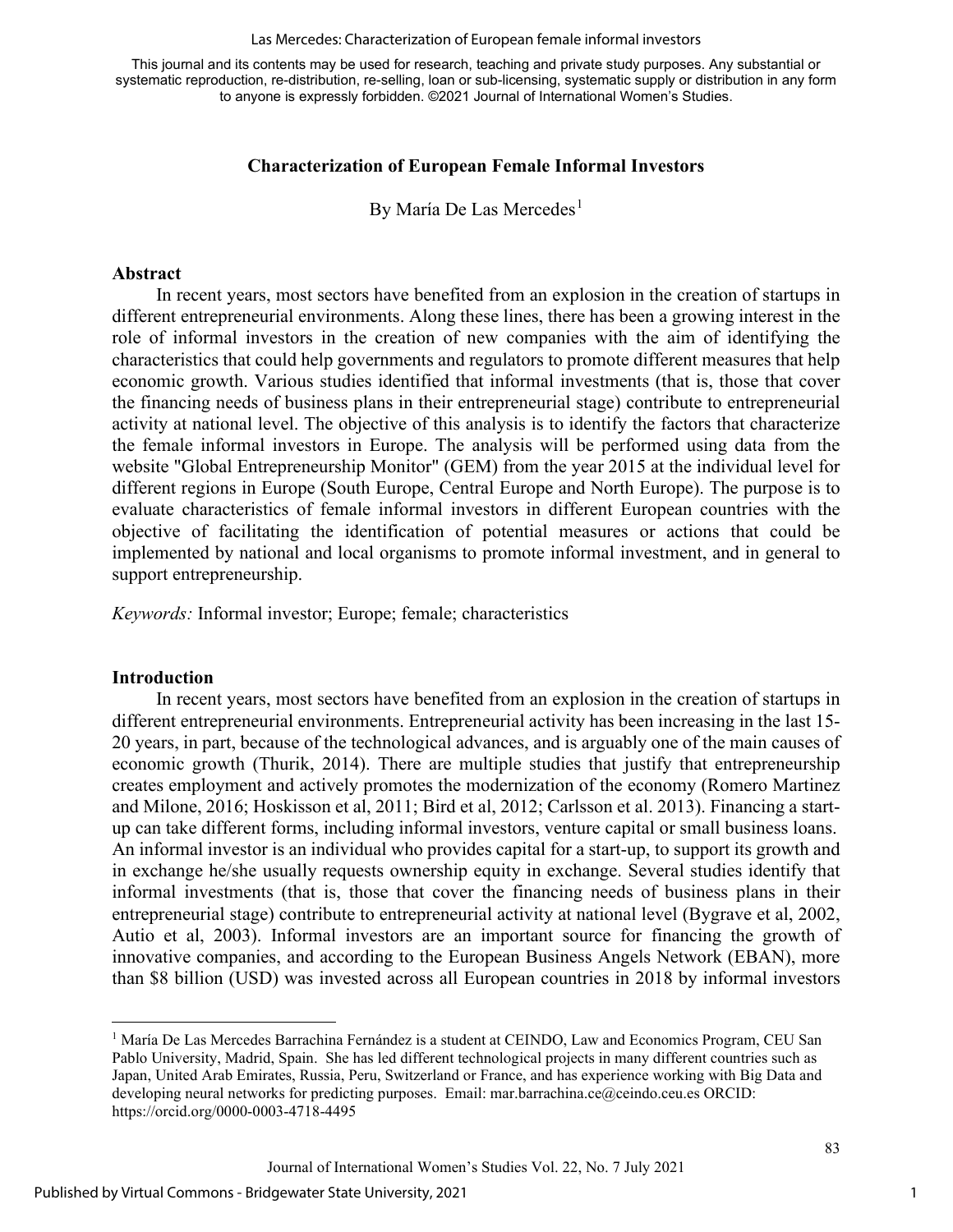#### Las Mercedes: Characterization of European female informal investors

This journal and its contents may be used for research, teaching and private study purposes. Any substantial or systematic reproduction, re-distribution, re-selling, loan or sub-licensing, systematic supply or distribution in any form to anyone is expressly forbidden. ©2021 Journal of International Women's Studies.

### **Characterization of European Female Informal Investors**

By María De Las Mercedes<sup>[1](#page-1-0)</sup>

#### **Abstract**

In recent years, most sectors have benefited from an explosion in the creation of startups in different entrepreneurial environments. Along these lines, there has been a growing interest in the role of informal investors in the creation of new companies with the aim of identifying the characteristics that could help governments and regulators to promote different measures that help economic growth. Various studies identified that informal investments (that is, those that cover the financing needs of business plans in their entrepreneurial stage) contribute to entrepreneurial activity at national level. The objective of this analysis is to identify the factors that characterize the female informal investors in Europe. The analysis will be performed using data from the website "Global Entrepreneurship Monitor" (GEM) from the year 2015 at the individual level for different regions in Europe (South Europe, Central Europe and North Europe). The purpose is to evaluate characteristics of female informal investors in different European countries with the objective of facilitating the identification of potential measures or actions that could be implemented by national and local organisms to promote informal investment, and in general to support entrepreneurship.

*Keywords:* Informal investor; Europe; female; characteristics

#### **Introduction**

In recent years, most sectors have benefited from an explosion in the creation of startups in different entrepreneurial environments. Entrepreneurial activity has been increasing in the last 15- 20 years, in part, because of the technological advances, and is arguably one of the main causes of economic growth (Thurik, 2014). There are multiple studies that justify that entrepreneurship creates employment and actively promotes the modernization of the economy (Romero Martinez and Milone, 2016; Hoskisson et al, 2011; Bird et al, 2012; Carlsson et al. 2013). Financing a startup can take different forms, including informal investors, venture capital or small business loans. An informal investor is an individual who provides capital for a start-up, to support its growth and in exchange he/she usually requests ownership equity in exchange. Several studies identify that informal investments (that is, those that cover the financing needs of business plans in their entrepreneurial stage) contribute to entrepreneurial activity at national level (Bygrave et al, 2002, Autio et al, 2003). Informal investors are an important source for financing the growth of innovative companies, and according to the European Business Angels Network (EBAN), more than \$8 billion (USD) was invested across all European countries in 2018 by informal investors

<span id="page-1-0"></span><sup>&</sup>lt;sup>1</sup> María De Las Mercedes Barrachina Fernández is a student at CEINDO, Law and Economics Program, CEU San Pablo University, Madrid, Spain. She has led different technological projects in many different countries such as Japan, United Arab Emirates, Russia, Peru, Switzerland or France, and has experience working with Big Data and developing neural networks for predicting purposes. Email: mar.barrachina.ce@ceindo.ceu.es ORCID: https://orcid.org/0000-0003-4718-4495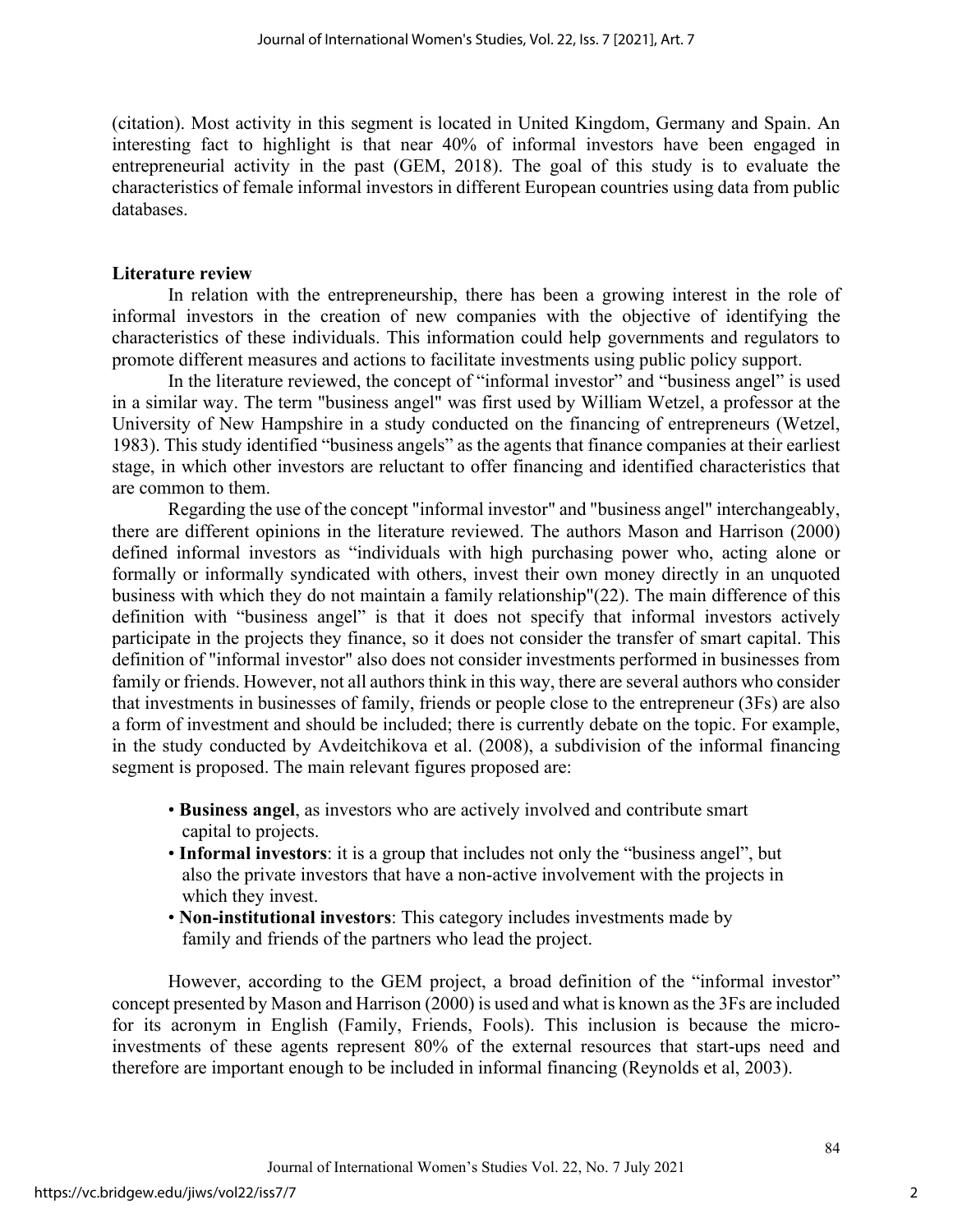(citation). Most activity in this segment is located in United Kingdom, Germany and Spain. An interesting fact to highlight is that near 40% of informal investors have been engaged in entrepreneurial activity in the past (GEM, 2018). The goal of this study is to evaluate the characteristics of female informal investors in different European countries using data from public databases.

### **Literature review**

In relation with the entrepreneurship, there has been a growing interest in the role of informal investors in the creation of new companies with the objective of identifying the characteristics of these individuals. This information could help governments and regulators to promote different measures and actions to facilitate investments using public policy support.

In the literature reviewed, the concept of "informal investor" and "business angel" is used in a similar way. The term "business angel" was first used by William Wetzel, a professor at the University of New Hampshire in a study conducted on the financing of entrepreneurs (Wetzel, 1983). This study identified "business angels" as the agents that finance companies at their earliest stage, in which other investors are reluctant to offer financing and identified characteristics that are common to them.

Regarding the use of the concept "informal investor" and "business angel" interchangeably, there are different opinions in the literature reviewed. The authors Mason and Harrison (2000) defined informal investors as "individuals with high purchasing power who, acting alone or formally or informally syndicated with others, invest their own money directly in an unquoted business with which they do not maintain a family relationship"(22). The main difference of this definition with "business angel" is that it does not specify that informal investors actively participate in the projects they finance, so it does not consider the transfer of smart capital. This definition of "informal investor" also does not consider investments performed in businesses from family or friends. However, not all authors think in this way, there are several authors who consider that investments in businesses of family, friends or people close to the entrepreneur (3Fs) are also a form of investment and should be included; there is currently debate on the topic. For example, in the study conducted by Avdeitchikova et al. (2008), a subdivision of the informal financing segment is proposed. The main relevant figures proposed are:

- **Business angel**, as investors who are actively involved and contribute smart capital to projects.
- **Informal investors**: it is a group that includes not only the "business angel", but also the private investors that have a non-active involvement with the projects in which they invest.
- **Non-institutional investors**: This category includes investments made by family and friends of the partners who lead the project.

However, according to the GEM project, a broad definition of the "informal investor" concept presented by Mason and Harrison (2000) is used and what is known as the 3Fs are included for its acronym in English (Family, Friends, Fools). This inclusion is because the microinvestments of these agents represent 80% of the external resources that start-ups need and therefore are important enough to be included in informal financing (Reynolds et al, 2003).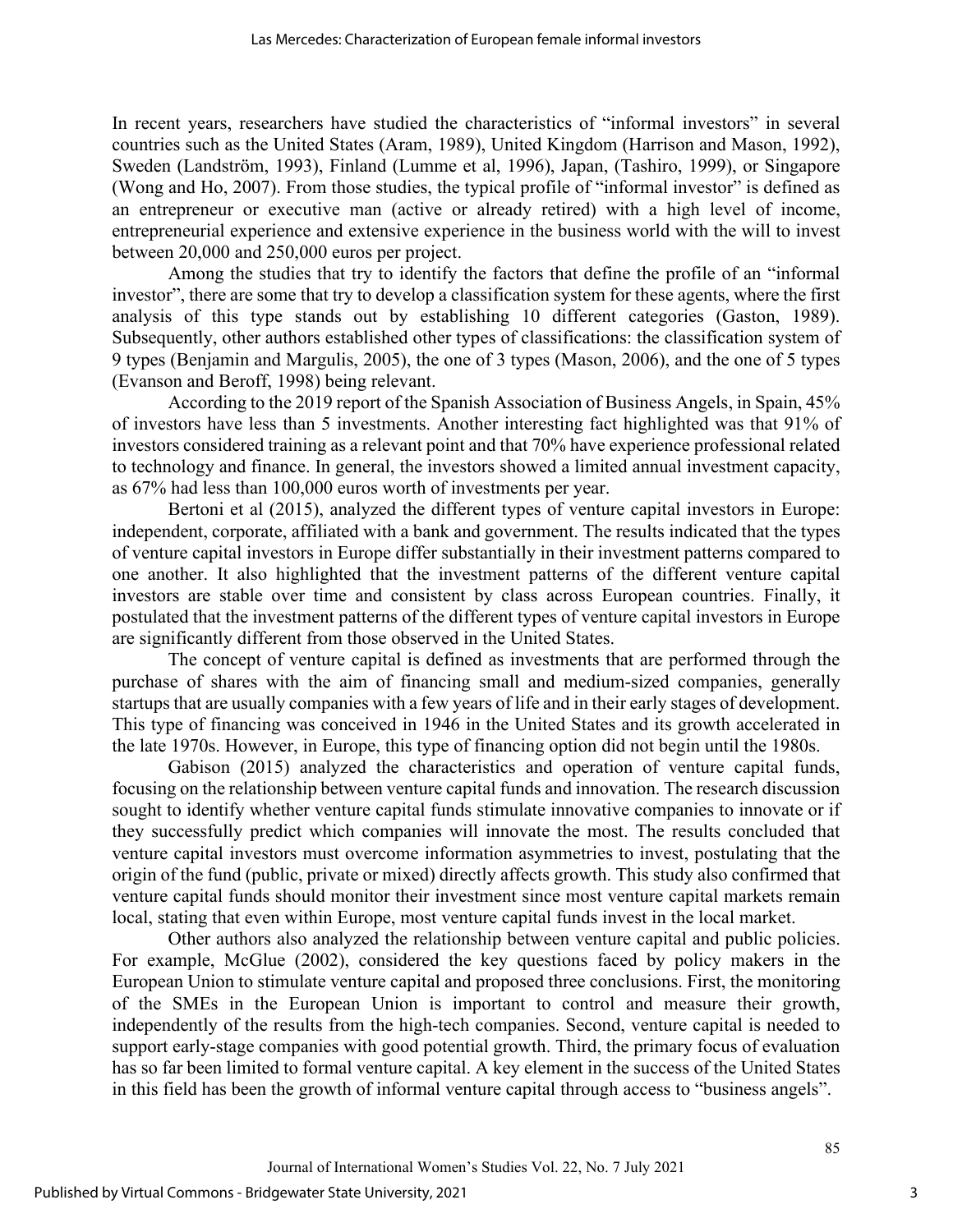In recent years, researchers have studied the characteristics of "informal investors" in several countries such as the United States (Aram, 1989), United Kingdom (Harrison and Mason, 1992), Sweden (Landström, 1993), Finland (Lumme et al, 1996), Japan, (Tashiro, 1999), or Singapore (Wong and Ho, 2007). From those studies, the typical profile of "informal investor" is defined as an entrepreneur or executive man (active or already retired) with a high level of income, entrepreneurial experience and extensive experience in the business world with the will to invest between 20,000 and 250,000 euros per project.

Among the studies that try to identify the factors that define the profile of an "informal investor", there are some that try to develop a classification system for these agents, where the first analysis of this type stands out by establishing 10 different categories (Gaston, 1989). Subsequently, other authors established other types of classifications: the classification system of 9 types (Benjamin and Margulis, 2005), the one of 3 types (Mason, 2006), and the one of 5 types (Evanson and Beroff, 1998) being relevant.

According to the 2019 report of the Spanish Association of Business Angels, in Spain, 45% of investors have less than 5 investments. Another interesting fact highlighted was that 91% of investors considered training as a relevant point and that 70% have experience professional related to technology and finance. In general, the investors showed a limited annual investment capacity, as 67% had less than 100,000 euros worth of investments per year.

Bertoni et al (2015), analyzed the different types of venture capital investors in Europe: independent, corporate, affiliated with a bank and government. The results indicated that the types of venture capital investors in Europe differ substantially in their investment patterns compared to one another. It also highlighted that the investment patterns of the different venture capital investors are stable over time and consistent by class across European countries. Finally, it postulated that the investment patterns of the different types of venture capital investors in Europe are significantly different from those observed in the United States.

The concept of venture capital is defined as investments that are performed through the purchase of shares with the aim of financing small and medium-sized companies, generally startups that are usually companies with a few years of life and in their early stages of development. This type of financing was conceived in 1946 in the United States and its growth accelerated in the late 1970s. However, in Europe, this type of financing option did not begin until the 1980s.

Gabison (2015) analyzed the characteristics and operation of venture capital funds, focusing on the relationship between venture capital funds and innovation. The research discussion sought to identify whether venture capital funds stimulate innovative companies to innovate or if they successfully predict which companies will innovate the most. The results concluded that venture capital investors must overcome information asymmetries to invest, postulating that the origin of the fund (public, private or mixed) directly affects growth. This study also confirmed that venture capital funds should monitor their investment since most venture capital markets remain local, stating that even within Europe, most venture capital funds invest in the local market.

Other authors also analyzed the relationship between venture capital and public policies. For example, McGlue (2002), considered the key questions faced by policy makers in the European Union to stimulate venture capital and proposed three conclusions. First, the monitoring of the SMEs in the European Union is important to control and measure their growth, independently of the results from the high-tech companies. Second, venture capital is needed to support early-stage companies with good potential growth. Third, the primary focus of evaluation has so far been limited to formal venture capital. A key element in the success of the United States in this field has been the growth of informal venture capital through access to "business angels".

3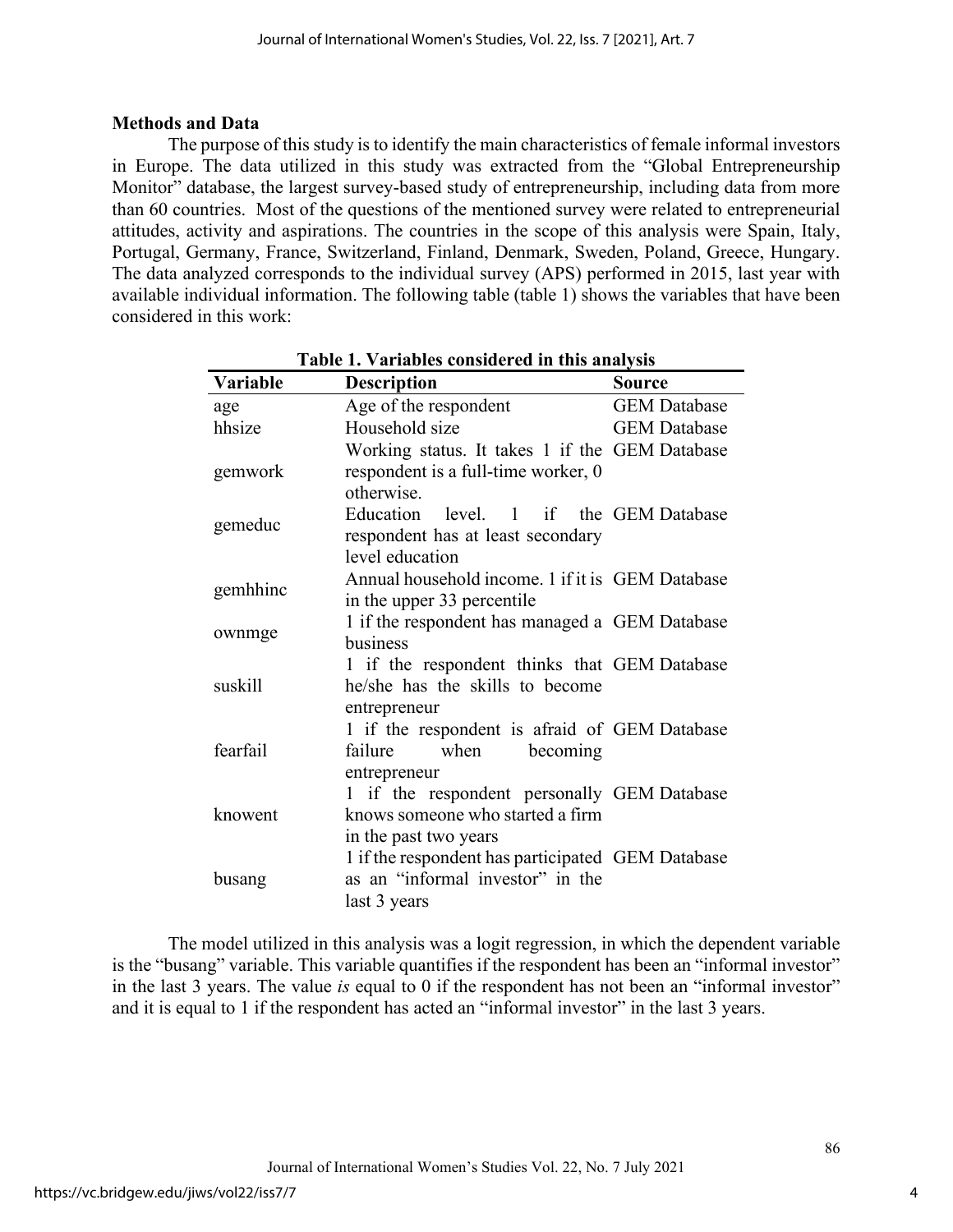### **Methods and Data**

The purpose of this study is to identify the main characteristics of female informal investors in Europe. The data utilized in this study was extracted from the "Global Entrepreneurship Monitor" database, the largest survey-based study of entrepreneurship, including data from more than 60 countries. Most of the questions of the mentioned survey were related to entrepreneurial attitudes, activity and aspirations. The countries in the scope of this analysis were Spain, Italy, Portugal, Germany, France, Switzerland, Finland, Denmark, Sweden, Poland, Greece, Hungary. The data analyzed corresponds to the individual survey (APS) performed in 2015, last year with available individual information. The following table (table 1) shows the variables that have been considered in this work:

| Variable | <b>Description</b>                                                                                       | <b>Source</b>       |  |
|----------|----------------------------------------------------------------------------------------------------------|---------------------|--|
| age      | Age of the respondent                                                                                    | <b>GEM</b> Database |  |
| hhsize   | Household size                                                                                           | <b>GEM</b> Database |  |
|          | Working status. It takes 1 if the GEM Database                                                           |                     |  |
| gemwork  | respondent is a full-time worker, 0<br>otherwise.                                                        |                     |  |
| gemeduc  | Education level. 1 if the GEM Database<br>respondent has at least secondary<br>level education           |                     |  |
| gemhhinc | Annual household income. 1 if it is GEM Database<br>in the upper 33 percentile                           |                     |  |
| ownmge   | 1 if the respondent has managed a GEM Database<br>business                                               |                     |  |
| suskill  | 1 if the respondent thinks that GEM Database<br>he/she has the skills to become<br>entrepreneur          |                     |  |
| fearfail | 1 if the respondent is afraid of GEM Database<br>when<br>failure<br>becoming<br>entrepreneur             |                     |  |
| knowent  | 1 if the respondent personally GEM Database<br>knows someone who started a firm<br>in the past two years |                     |  |
| busang   | 1 if the respondent has participated GEM Database<br>as an "informal investor" in the<br>last 3 years    |                     |  |

**Table 1. Variables considered in this analysis** 

The model utilized in this analysis was a logit regression, in which the dependent variable is the "busang" variable. This variable quantifies if the respondent has been an "informal investor" in the last 3 years. The value *is* equal to 0 if the respondent has not been an "informal investor" and it is equal to 1 if the respondent has acted an "informal investor" in the last 3 years.

4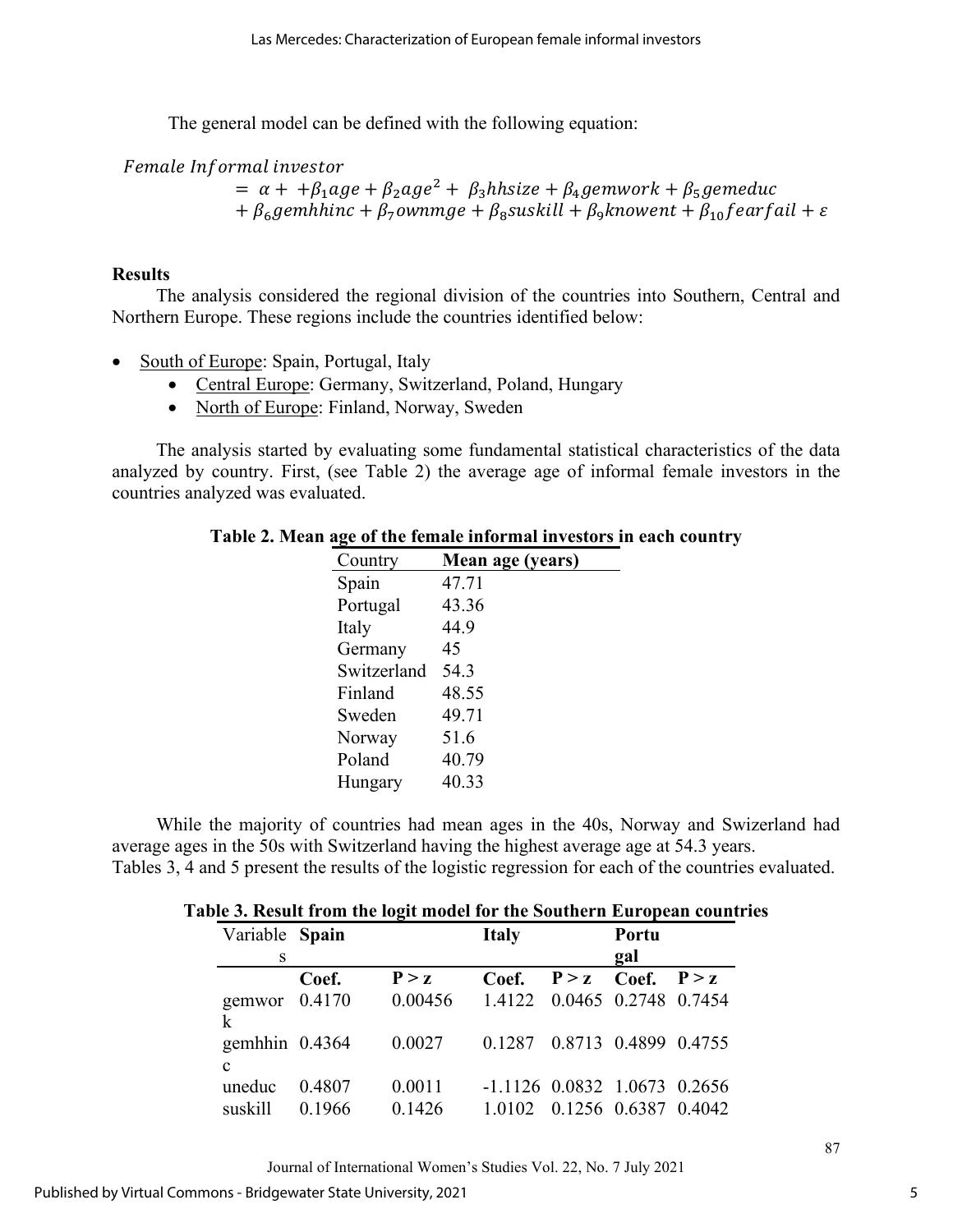The general model can be defined with the following equation:

Female Informal investor

 $= \alpha + \frac{\beta_1}{\alpha}$   $= \beta_2 \alpha g e^2 + \beta_3$  hhsize  $+ \beta_4$  gemwork  $+ \beta_5$  gemeduc +  $\beta_6$ gemhhinc +  $\beta_7$ ownmge +  $\beta_8$ suskill +  $\beta_9$ knowent +  $\beta_{10}$ fearfail +  $\varepsilon$ 

# **Results**

The analysis considered the regional division of the countries into Southern, Central and Northern Europe. These regions include the countries identified below:

- South of Europe: Spain, Portugal, Italy
	- Central Europe: Germany, Switzerland, Poland, Hungary
	- North of Europe: Finland, Norway, Sweden

The analysis started by evaluating some fundamental statistical characteristics of the data analyzed by country. First, (see Table 2) the average age of informal female investors in the countries analyzed was evaluated.

| o           |                  |
|-------------|------------------|
| Country     | Mean age (years) |
| Spain       | 47.71            |
| Portugal    | 43.36            |
| Italy       | 44.9             |
| Germany     | 45               |
| Switzerland | 54.3             |
| Finland     | 48.55            |
| Sweden      | 49.71            |
| Norway      | 51.6             |
| Poland      | 40.79            |
| Hungary     | 40.33            |

#### **Table 2. Mean age of the female informal investors in each country**

While the majority of countries had mean ages in the 40s, Norway and Swizerland had average ages in the 50s with Switzerland having the highest average age at 54.3 years. Tables 3, 4 and 5 present the results of the logistic regression for each of the countries evaluated.

| Variable Spain                  |        |         | <b>Italy</b>                   |                       | Portu                |  |
|---------------------------------|--------|---------|--------------------------------|-----------------------|----------------------|--|
| S                               |        |         |                                |                       | gal                  |  |
|                                 | Coef.  | P > z   | Coef.                          | $P > z$ Coef. $P > z$ |                      |  |
| gemwor $0.4170$<br>k            |        | 0.00456 | 1.4122 0.0465 0.2748 0.7454    |                       |                      |  |
| gemhhin $0.4364$<br>$\mathbf c$ |        | 0.0027  | 0.1287 0.8713 0.4899 0.4755    |                       |                      |  |
| uneduc                          | 0.4807 | 0.0011  | $-1.1126$ 0.0832 1.0673 0.2656 |                       |                      |  |
| suskill                         | 0.1966 | 0.1426  | 1.0102                         |                       | 0.1256 0.6387 0.4042 |  |

Journal of International Women's Studies Vol. 22, No. 7 July 2021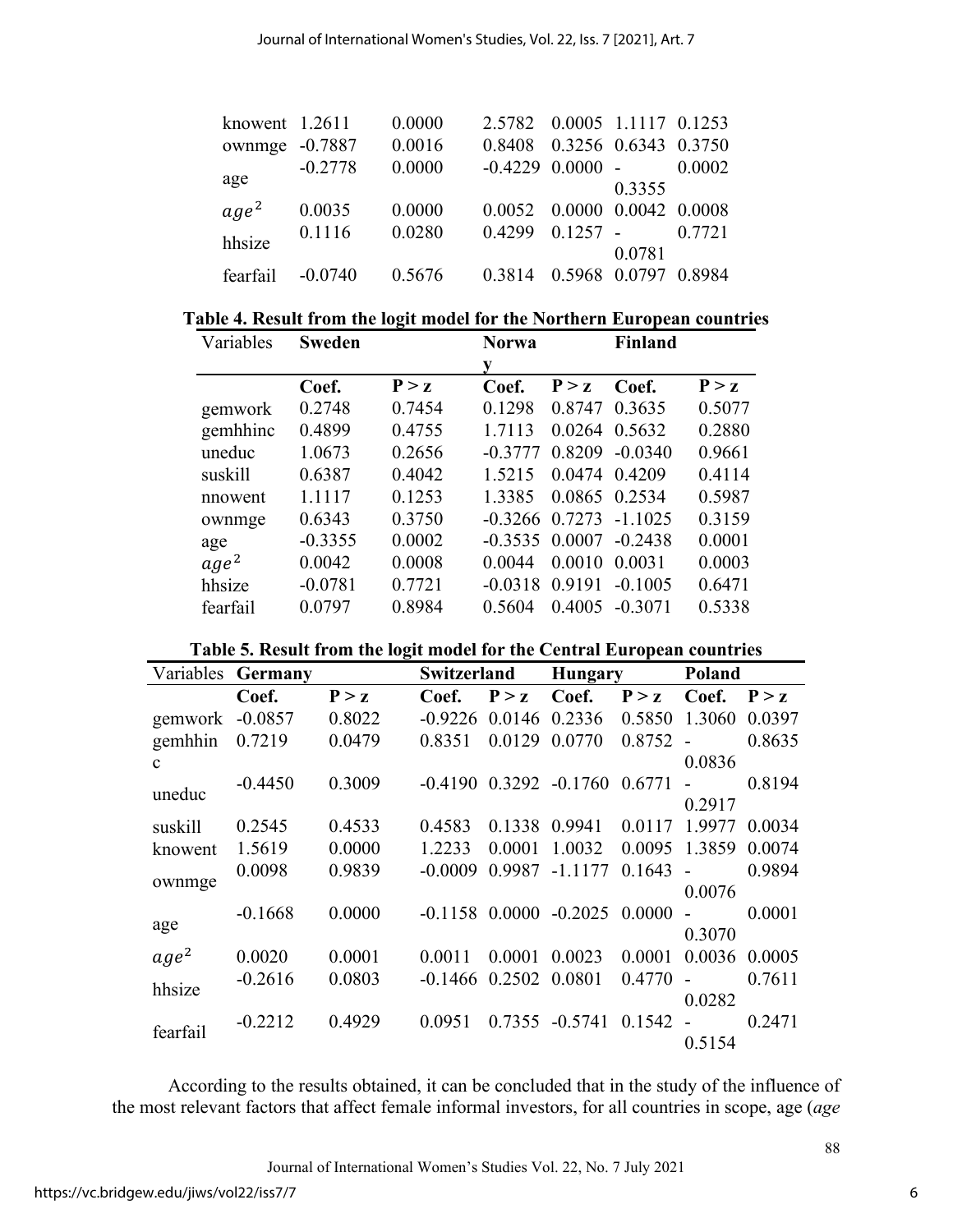| knowent 1.2611   |           | 0.0000 | 2.5782 0.0005 1.1117 0.1253 |            |                      |        |
|------------------|-----------|--------|-----------------------------|------------|----------------------|--------|
| ownmge -0.7887   |           | 0.0016 | 0.8408                      |            | 0.3256 0.6343 0.3750 |        |
| age              | $-0.2778$ | 0.0000 | $-0.4229$ $0.0000$ $-$      |            |                      | 0.0002 |
|                  |           |        |                             |            | 0.3355               |        |
| age <sup>2</sup> | 0.0035    | 0.0000 | 0.0052 0.0000 0.0042 0.0008 |            |                      |        |
| hhsize           | 0.1116    | 0.0280 | 0.4299                      | $0.1257 -$ |                      | 0.7721 |
|                  |           |        |                             |            | 0.0781               |        |
| fearfail         | $-0.0740$ | 0.5676 | 0.3814                      | 0.5968     | 0.0797               | 0.8984 |

| Table 4. Result from the logit model for the Northern European countries |
|--------------------------------------------------------------------------|
|--------------------------------------------------------------------------|

| Variables        | <b>Sweden</b> |        | <b>Norwa</b> |        |               | <b>Finland</b> |  |
|------------------|---------------|--------|--------------|--------|---------------|----------------|--|
|                  |               |        |              |        |               |                |  |
|                  | Coef.         | P > Z  | Coef.        | P > Z  | Coef.         | P > z          |  |
| gemwork          | 0.2748        | 0.7454 | 0.1298       | 0.8747 | 0.3635        | 0.5077         |  |
| gemhhinc         | 0.4899        | 0.4755 | 1.7113       | 0.0264 | 0.5632        | 0.2880         |  |
| uneduc           | 1.0673        | 0.2656 | $-0.3777$    | 0.8209 | $-0.0340$     | 0.9661         |  |
| suskill          | 0.6387        | 0.4042 | 1.5215       |        | 0.0474 0.4209 | 0.4114         |  |
| nnowent          | 1.1117        | 0.1253 | 1.3385       |        | 0.0865 0.2534 | 0.5987         |  |
| ownmge           | 0.6343        | 0.3750 | $-0.3266$    | 0.7273 | $-1.1025$     | 0.3159         |  |
| age              | $-0.3355$     | 0.0002 | $-0.3535$    | 0.0007 | $-0.2438$     | 0.0001         |  |
| age <sup>2</sup> | 0.0042        | 0.0008 | 0.0044       | 0.0010 | 0.0031        | 0.0003         |  |
| hhsize           | $-0.0781$     | 0.7721 | $-0.0318$    | 0.9191 | $-0.1005$     | 0.6471         |  |
| fearfail         | 0.0797        | 0.8984 | 0.5604       | 0.4005 | $-0.3071$     | 0.5338         |  |

|  |  |  | Table 5. Result from the logit model for the Central European countries |  |
|--|--|--|-------------------------------------------------------------------------|--|
|  |  |  |                                                                         |  |

| Variables        | Germany   |        | Switzerland      |        | <b>Hungary</b> |        | Poland |        |
|------------------|-----------|--------|------------------|--------|----------------|--------|--------|--------|
|                  | Coef.     | P > z  | Coef.            | P > z  | Coef.          | P > z  | Coef.  | P > z  |
| gemwork          | $-0.0857$ | 0.8022 | $-0.9226$        | 0.0146 | 0.2336         | 0.5850 | 1.3060 | 0.0397 |
| gemhhin          | 0.7219    | 0.0479 | 0.8351           | 0.0129 | 0.0770         | 0.8752 |        | 0.8635 |
| $\mathbf{C}$     |           |        |                  |        |                |        | 0.0836 |        |
| uneduc           | $-0.4450$ | 0.3009 | $-0.4190$        | 0.3292 | $-0.1760$      | 0.6771 |        | 0.8194 |
|                  |           |        |                  |        |                |        | 0.2917 |        |
| suskill          | 0.2545    | 0.4533 | 0.4583           | 0.1338 | 0.9941         | 0.0117 | 1.9977 | 0.0034 |
| knowent          | 1.5619    | 0.0000 | 1.2233           | 0.0001 | 1.0032         | 0.0095 | 1.3859 | 0.0074 |
|                  | 0.0098    | 0.9839 | $-0.0009$        | 0.9987 | $-1.1177$      | 0.1643 |        | 0.9894 |
| ownmge           |           |        |                  |        |                |        | 0.0076 |        |
|                  | $-0.1668$ | 0.0000 | $-0.1158$ 0.0000 |        | $-0.2025$      | 0.0000 |        | 0.0001 |
| age              |           |        |                  |        |                |        | 0.3070 |        |
| age <sup>2</sup> | 0.0020    | 0.0001 | 0.0011           | 0.0001 | 0.0023         | 0.0001 | 0.0036 | 0.0005 |
| hhsize           | $-0.2616$ | 0.0803 | $-0.1466$        | 0.2502 | 0.0801         | 0.4770 |        | 0.7611 |
|                  |           |        |                  |        |                |        | 0.0282 |        |
| fearfail         | $-0.2212$ | 0.4929 | 0.0951           | 0.7355 | $-0.5741$      | 0.1542 |        | 0.2471 |
|                  |           |        |                  |        |                |        | 0.5154 |        |

According to the results obtained, it can be concluded that in the study of the influence of the most relevant factors that affect female informal investors, for all countries in scope, age (*age*

Journal of International Women's Studies Vol. 22, No. 7 July 2021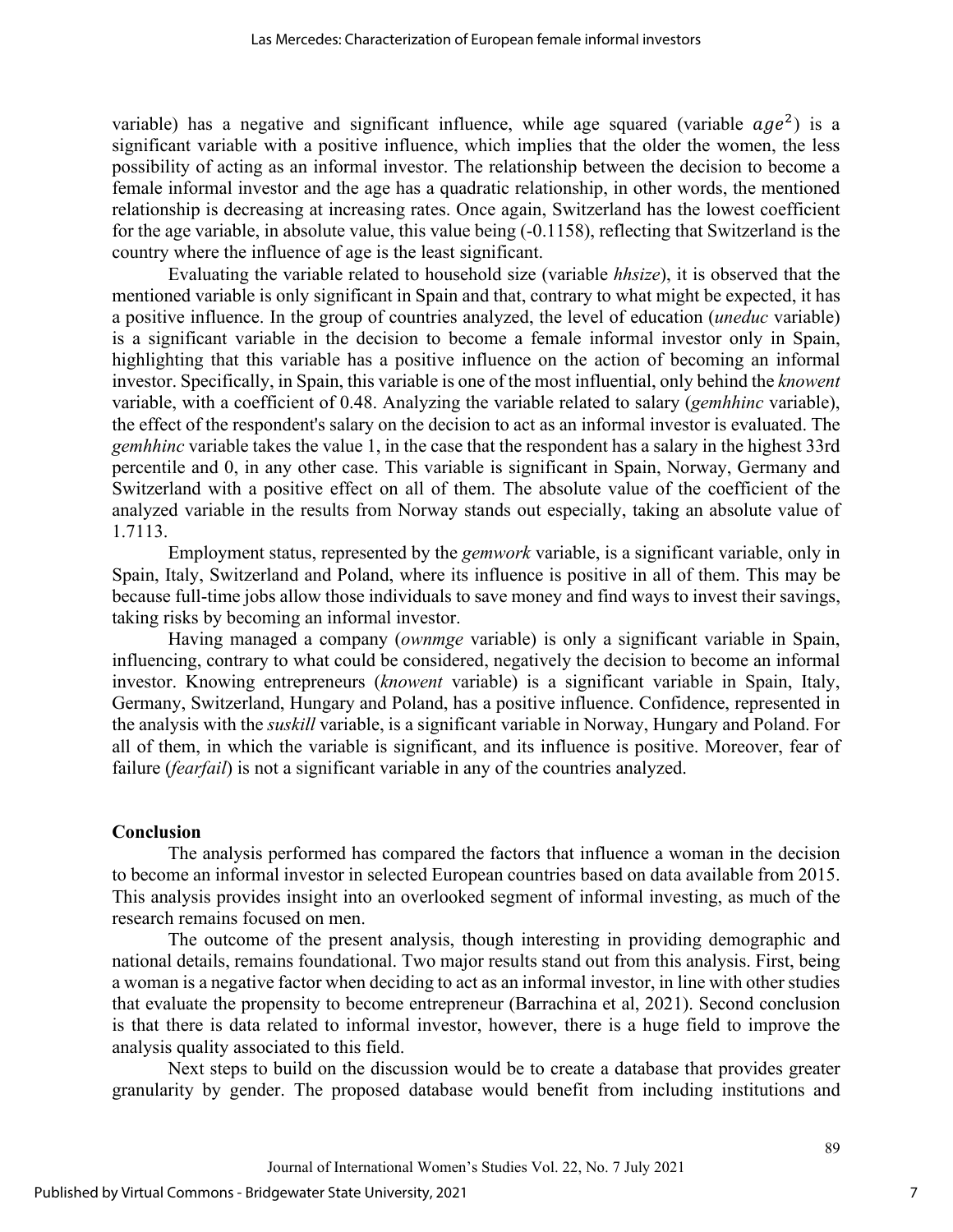variable) has a negative and significant influence, while age squared (variable  $age^2$ ) is a significant variable with a positive influence, which implies that the older the women, the less possibility of acting as an informal investor. The relationship between the decision to become a female informal investor and the age has a quadratic relationship, in other words, the mentioned relationship is decreasing at increasing rates. Once again, Switzerland has the lowest coefficient for the age variable, in absolute value, this value being (-0.1158), reflecting that Switzerland is the country where the influence of age is the least significant.

Evaluating the variable related to household size (variable *hhsize*), it is observed that the mentioned variable is only significant in Spain and that, contrary to what might be expected, it has a positive influence. In the group of countries analyzed, the level of education (*uneduc* variable) is a significant variable in the decision to become a female informal investor only in Spain, highlighting that this variable has a positive influence on the action of becoming an informal investor. Specifically, in Spain, this variable is one of the most influential, only behind the *knowent* variable, with a coefficient of 0.48. Analyzing the variable related to salary (*gemhhinc* variable), the effect of the respondent's salary on the decision to act as an informal investor is evaluated. The *gemhhinc* variable takes the value 1, in the case that the respondent has a salary in the highest 33rd percentile and 0, in any other case. This variable is significant in Spain, Norway, Germany and Switzerland with a positive effect on all of them. The absolute value of the coefficient of the analyzed variable in the results from Norway stands out especially, taking an absolute value of 1.7113.

Employment status, represented by the *gemwork* variable, is a significant variable, only in Spain, Italy, Switzerland and Poland, where its influence is positive in all of them. This may be because full-time jobs allow those individuals to save money and find ways to invest their savings, taking risks by becoming an informal investor.

Having managed a company (*ownmge* variable) is only a significant variable in Spain, influencing, contrary to what could be considered, negatively the decision to become an informal investor. Knowing entrepreneurs (*knowent* variable) is a significant variable in Spain, Italy, Germany, Switzerland, Hungary and Poland, has a positive influence. Confidence, represented in the analysis with the *suskill* variable, is a significant variable in Norway, Hungary and Poland. For all of them, in which the variable is significant, and its influence is positive. Moreover, fear of failure *(fearfail)* is not a significant variable in any of the countries analyzed.

### **Conclusion**

The analysis performed has compared the factors that influence a woman in the decision to become an informal investor in selected European countries based on data available from 2015. This analysis provides insight into an overlooked segment of informal investing, as much of the research remains focused on men.

The outcome of the present analysis, though interesting in providing demographic and national details, remains foundational. Two major results stand out from this analysis. First, being a woman is a negative factor when deciding to act as an informal investor, in line with other studies that evaluate the propensity to become entrepreneur (Barrachina et al, 2021). Second conclusion is that there is data related to informal investor, however, there is a huge field to improve the analysis quality associated to this field.

Next steps to build on the discussion would be to create a database that provides greater granularity by gender. The proposed database would benefit from including institutions and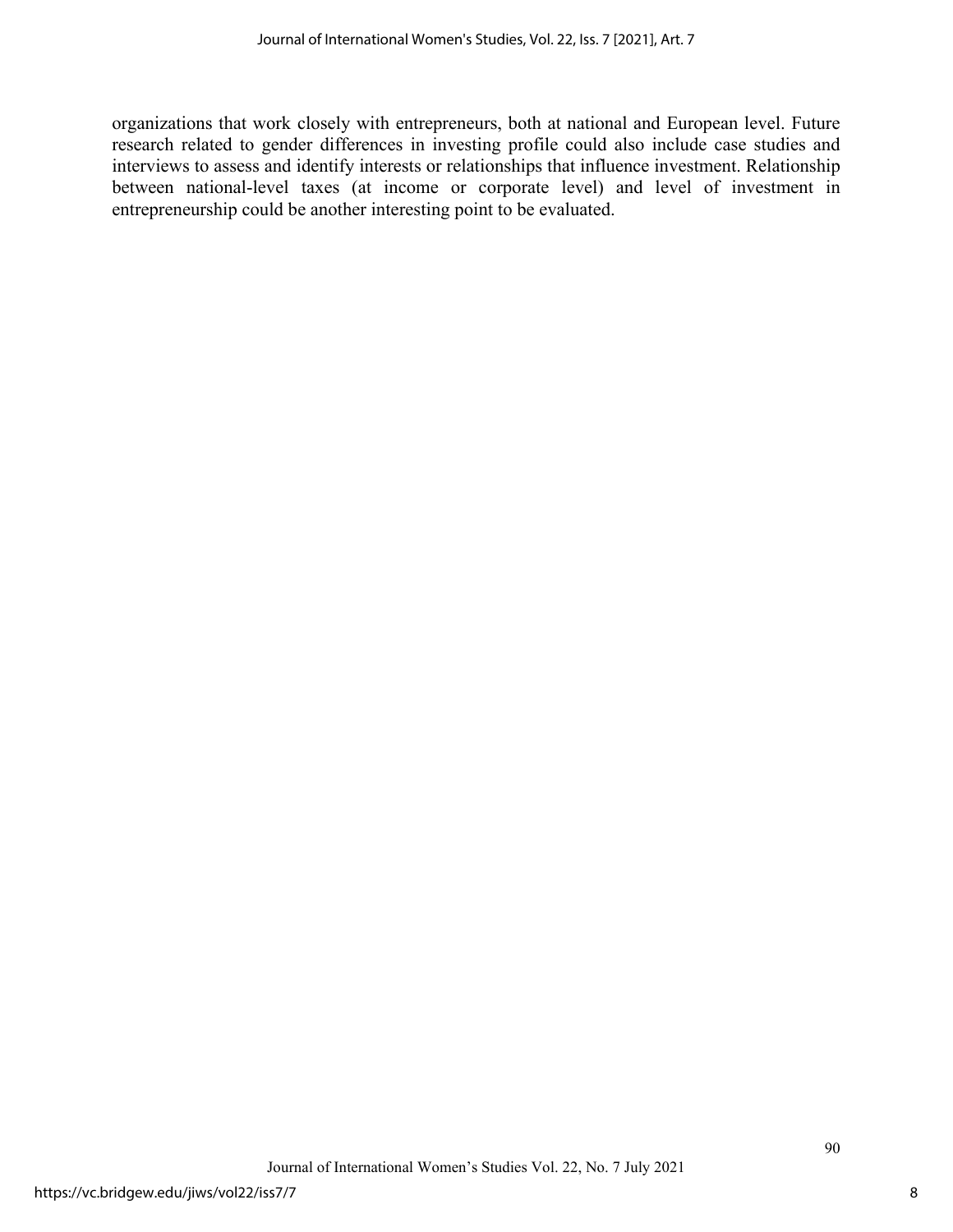organizations that work closely with entrepreneurs, both at national and European level. Future research related to gender differences in investing profile could also include case studies and interviews to assess and identify interests or relationships that influence investment. Relationship between national-level taxes (at income or corporate level) and level of investment in entrepreneurship could be another interesting point to be evaluated.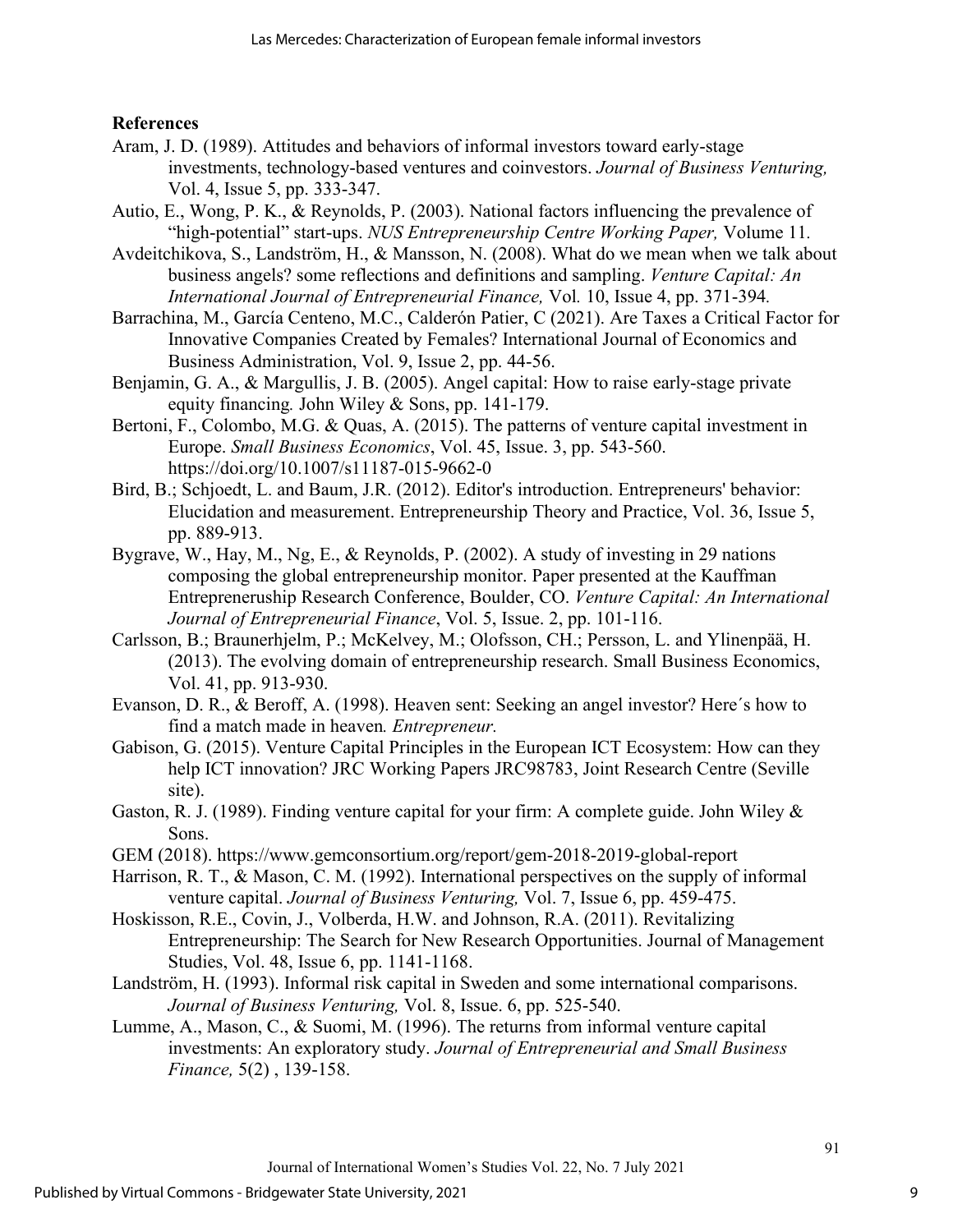# **References**

- Aram, J. D. (1989). Attitudes and behaviors of informal investors toward early-stage investments, technology-based ventures and coinvestors. *Journal of Business Venturing,*  Vol. 4, Issue 5, pp. 333-347.
- Autio, E., Wong, P. K., & Reynolds, P. (2003). National factors influencing the prevalence of "high-potential" start-ups. *NUS Entrepreneurship Centre Working Paper,* Volume 11*.*
- Avdeitchikova, S., Landström, H., & Mansson, N. (2008). What do we mean when we talk about business angels? some reflections and definitions and sampling. *Venture Capital: An International Journal of Entrepreneurial Finance,* Vol*.* 10, Issue 4, pp. 371-394*.*
- Barrachina, M., García Centeno, M.C., Calderón Patier, C (2021). Are Taxes a Critical Factor for Innovative Companies Created by Females? International Journal of Economics and Business Administration, Vol. 9, Issue 2, pp. 44-56.
- Benjamin, G. A., & Margullis, J. B. (2005). Angel capital: How to raise early-stage private equity financing*.* John Wiley & Sons, pp. 141-179.
- Bertoni, F., Colombo, M.G. & Quas, A. (2015). The patterns of venture capital investment in Europe. *Small Business Economics*, Vol. 45, Issue. 3, pp. 543-560. https://doi.org/10.1007/s11187-015-9662-0
- Bird, B.; Schjoedt, L. and Baum, J.R. (2012). Editor's introduction. Entrepreneurs' behavior: Elucidation and measurement. Entrepreneurship Theory and Practice, Vol. 36, Issue 5, pp. 889-913.
- Bygrave, W., Hay, M., Ng, E., & Reynolds, P. (2002). A study of investing in 29 nations composing the global entrepreneurship monitor. Paper presented at the Kauffman Entrepreneruship Research Conference, Boulder, CO. *Venture Capital: An International Journal of Entrepreneurial Finance*, Vol. 5, Issue. 2, pp. 101-116.
- Carlsson, B.; Braunerhjelm, P.; McKelvey, M.; Olofsson, CH.; Persson, L. and Ylinenpää, H. (2013). The evolving domain of entrepreneurship research. Small Business Economics, Vol. 41, pp. 913-930.
- Evanson, D. R., & Beroff, A. (1998). Heaven sent: Seeking an angel investor? Here´s how to find a match made in heaven*. Entrepreneur.*
- Gabison, G. (2015). [Venture Capital Principles in the European ICT Ecosystem: How can they](https://ideas.repec.org/p/ipt/iptwpa/jrc98783.html)  [help ICT innovation?](https://ideas.repec.org/p/ipt/iptwpa/jrc98783.html) [JRC Working Papers](https://ideas.repec.org/s/ipt/iptwpa.html) JRC98783, Joint Research Centre (Seville site).
- Gaston, R. J. (1989). Finding venture capital for your firm: A complete guide. John Wiley & Sons.
- GEM (2018). https://www.gemconsortium.org/report/gem-2018-2019-global-report
- Harrison, R. T., & Mason, C. M. (1992). International perspectives on the supply of informal venture capital. *Journal of Business Venturing,* Vol. 7, Issue 6, pp. 459-475.
- Hoskisson, R.E., Covin, J., Volberda, H.W. and Johnson, R.A. (2011). Revitalizing Entrepreneurship: The Search for New Research Opportunities. Journal of Management Studies, Vol. 48, Issue 6, pp. 1141-1168.
- Landström, H. (1993). Informal risk capital in Sweden and some international comparisons. *Journal of Business Venturing,* Vol. 8, Issue. 6, pp. 525-540.
- Lumme, A., Mason, C., & Suomi, M. (1996). The returns from informal venture capital investments: An exploratory study. *Journal of Entrepreneurial and Small Business Finance,* 5(2) , 139-158.